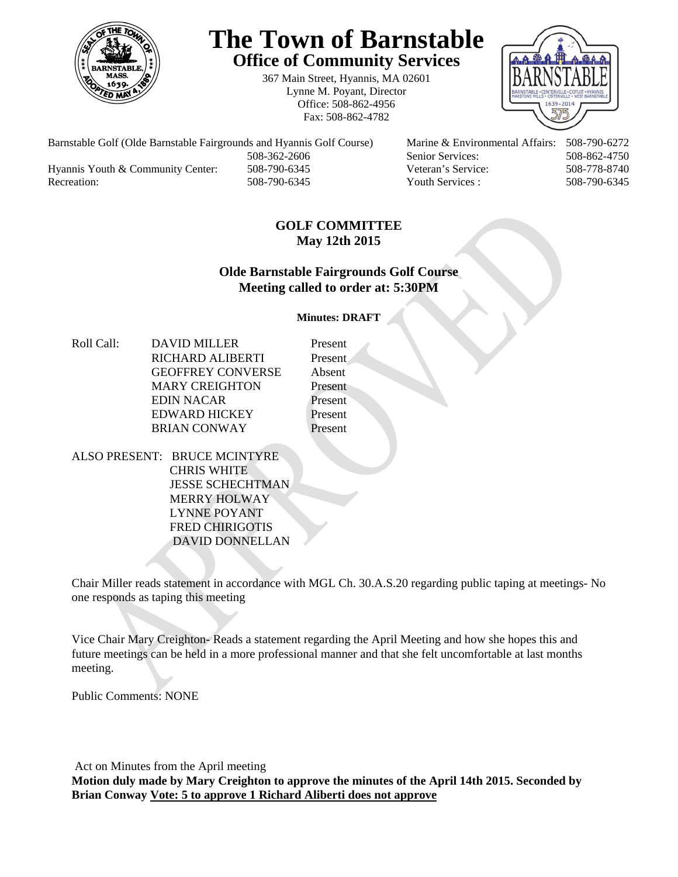

# **The Town of Barnstable Office of Community Services**

367 Main Street, Hyannis, MA 02601 Lynne M. Poyant, Director Office: 508-862-4956 Fax: 508-862-4782



 508-362-2606 Senior Services: 508-862-4750 Hyannis Youth & Community Center: 508-790-6345 Veteran's Service: 508-778-8740

Barnstable Golf (Olde Barnstable Fairgrounds and Hyannis Golf Course) Marine & Environmental Affairs: 508-790-6272 Recreation: 508-790-6345 Youth Services : 508-790-6345 S08-790-6345

## **GOLF COMMITTEE May 12th 2015**

## **Olde Barnstable Fairgrounds Golf Course Meeting called to order at: 5:30PM**

**Minutes: DRAFT** 

Roll Call: DAVID MILLER Present RICHARD ALIBERTI Present GEOFFREY CONVERSE Absent MARY CREIGHTON Present EDIN NACAR Present EDWARD HICKEY Present BRIAN CONWAY Present

ALSO PRESENT: BRUCE MCINTYRE CHRIS WHITE JESSE SCHECHTMAN MERRY HOLWAY LYNNE POYANT FRED CHIRIGOTIS DAVID DONNELLAN

Chair Miller reads statement in accordance with MGL Ch. 30.A.S.20 regarding public taping at meetings- No one responds as taping this meeting

Vice Chair Mary Creighton- Reads a statement regarding the April Meeting and how she hopes this and future meetings can be held in a more professional manner and that she felt uncomfortable at last months meeting.

Public Comments: NONE

 Act on Minutes from the April meeting **Motion duly made by Mary Creighton to approve the minutes of the April 14th 2015. Seconded by Brian Conway Vote: 5 to approve 1 Richard Aliberti does not approve**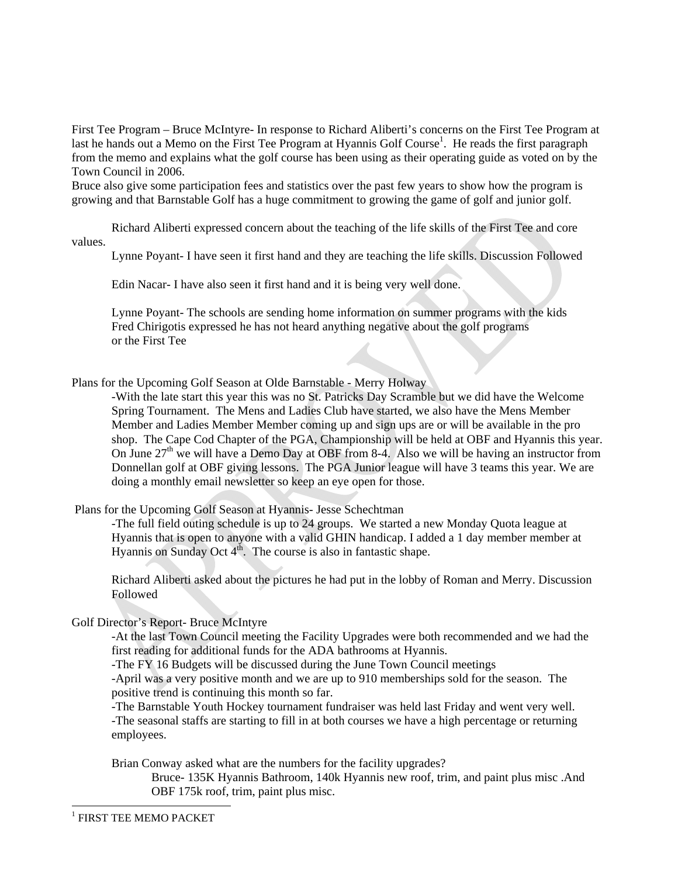First Tee Program – Bruce McIntyre- In response to Richard Aliberti's concerns on the First Tee Program at last he hands out a Memo on the First Tee Program at Hyannis Golf Course<sup>1</sup>. He reads the first paragraph from the memo and explains what the golf course has been using as their operating guide as voted on by the Town Council in 2006.

Bruce also give some participation fees and statistics over the past few years to show how the program is growing and that Barnstable Golf has a huge commitment to growing the game of golf and junior golf.

Richard Aliberti expressed concern about the teaching of the life skills of the First Tee and core values.

Lynne Poyant- I have seen it first hand and they are teaching the life skills. Discussion Followed

Edin Nacar- I have also seen it first hand and it is being very well done.

Lynne Poyant- The schools are sending home information on summer programs with the kids Fred Chirigotis expressed he has not heard anything negative about the golf programs or the First Tee

Plans for the Upcoming Golf Season at Olde Barnstable - Merry Holway

-With the late start this year this was no St. Patricks Day Scramble but we did have the Welcome Spring Tournament. The Mens and Ladies Club have started, we also have the Mens Member Member and Ladies Member Member coming up and sign ups are or will be available in the pro shop. The Cape Cod Chapter of the PGA, Championship will be held at OBF and Hyannis this year. On June 27<sup>th</sup> we will have a Demo Day at OBF from 8-4. Also we will be having an instructor from Donnellan golf at OBF giving lessons. The PGA Junior league will have 3 teams this year. We are doing a monthly email newsletter so keep an eye open for those.

Plans for the Upcoming Golf Season at Hyannis- Jesse Schechtman

-The full field outing schedule is up to 24 groups. We started a new Monday Quota league at Hyannis that is open to anyone with a valid GHIN handicap. I added a 1 day member member at Hyannis on Sunday Oct  $4<sup>th</sup>$ . The course is also in fantastic shape.

Richard Aliberti asked about the pictures he had put in the lobby of Roman and Merry. Discussion Followed

Golf Director's Report- Bruce McIntyre

-At the last Town Council meeting the Facility Upgrades were both recommended and we had the first reading for additional funds for the ADA bathrooms at Hyannis.

-The FY 16 Budgets will be discussed during the June Town Council meetings

-April was a very positive month and we are up to 910 memberships sold for the season. The positive trend is continuing this month so far.

 -The Barnstable Youth Hockey tournament fundraiser was held last Friday and went very well. -The seasonal staffs are starting to fill in at both courses we have a high percentage or returning employees.

Brian Conway asked what are the numbers for the facility upgrades?

Bruce- 135K Hyannis Bathroom, 140k Hyannis new roof, trim, and paint plus misc .And OBF 175k roof, trim, paint plus misc.

l